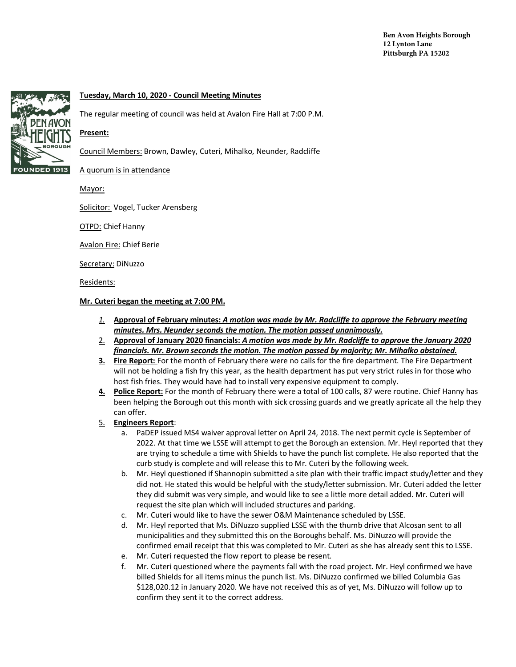

## **Tuesday, March 10, 2020 - Council Meeting Minutes**

The regular meeting of council was held at Avalon Fire Hall at 7:00 P.M.

## **Present:**

Council Members: Brown, Dawley, Cuteri, Mihalko, Neunder, Radcliffe

A quorum is in attendance

Mayor:

Solicitor: Vogel, Tucker Arensberg

OTPD: Chief Hanny

Avalon Fire: Chief Berie

Secretary: DiNuzzo

Residents:

## **Mr. Cuteri began the meeting at 7:00 PM.**

- *1.* **Approval of February minutes:** *A motion was made by Mr. Radcliffe to approve the February meeting minutes. Mrs. Neunder seconds the motion. The motion passed unanimously.*
- 2. **Approval of January 2020 financials:** *A motion was made by Mr. Radcliffe to approve the January 2020 financials. Mr. Brown seconds the motion. The motion passed by majority; Mr. Mihalko abstained.*
- **3. Fire Report:** For the month of February there were no calls for the fire department. The Fire Department will not be holding a fish fry this year, as the health department has put very strict rules in for those who host fish fries. They would have had to install very expensive equipment to comply.
- **4. Police Report:** For the month of February there were a total of 100 calls, 87 were routine. Chief Hanny has been helping the Borough out this month with sick crossing guards and we greatly apricate all the help they can offer.

## 5. **Engineers Report**:

- a. PaDEP issued MS4 waiver approval letter on April 24, 2018. The next permit cycle is September of 2022. At that time we LSSE will attempt to get the Borough an extension. Mr. Heyl reported that they are trying to schedule a time with Shields to have the punch list complete. He also reported that the curb study is complete and will release this to Mr. Cuteri by the following week.
- b. Mr. Heyl questioned if Shannopin submitted a site plan with their traffic impact study/letter and they did not. He stated this would be helpful with the study/letter submission. Mr. Cuteri added the letter they did submit was very simple, and would like to see a little more detail added. Mr. Cuteri will request the site plan which will included structures and parking.
- c. Mr. Cuteri would like to have the sewer O&M Maintenance scheduled by LSSE.
- d. Mr. Heyl reported that Ms. DiNuzzo supplied LSSE with the thumb drive that Alcosan sent to all municipalities and they submitted this on the Boroughs behalf. Ms. DiNuzzo will provide the confirmed email receipt that this was completed to Mr. Cuteri as she has already sent this to LSSE.
- e. Mr. Cuteri requested the flow report to please be resent.
- f. Mr. Cuteri questioned where the payments fall with the road project. Mr. Heyl confirmed we have billed Shields for all items minus the punch list. Ms. DiNuzzo confirmed we billed Columbia Gas \$128,020.12 in January 2020. We have not received this as of yet, Ms. DiNuzzo will follow up to confirm they sent it to the correct address.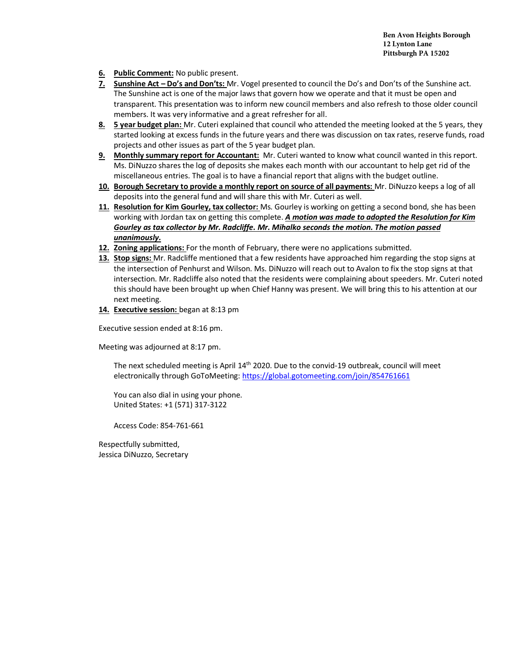**Ben Avon Heights Borough 12 Lynton Lane Pittsburgh PA 15202**

- **6. Public Comment:** No public present.
- **7. Sunshine Act – Do's and Don'ts:** Mr. Vogel presented to council the Do's and Don'ts of the Sunshine act. The Sunshine act is one of the major laws that govern how we operate and that it must be open and transparent. This presentation was to inform new council members and also refresh to those older council members. It was very informative and a great refresher for all.
- **8. 5 year budget plan:** Mr. Cuteri explained that council who attended the meeting looked at the 5 years, they started looking at excess funds in the future years and there was discussion on tax rates, reserve funds, road projects and other issues as part of the 5 year budget plan.
- **9. Monthly summary report for Accountant:** Mr. Cuteri wanted to know what council wanted in this report. Ms. DiNuzzo shares the log of deposits she makes each month with our accountant to help get rid of the miscellaneous entries. The goal is to have a financial report that aligns with the budget outline.
- **10. Borough Secretary to provide a monthly report on source of all payments:** Mr. DiNuzzo keeps a log of all deposits into the general fund and will share this with Mr. Cuteri as well.
- **11. Resolution for Kim Gourley, tax collector:** Ms. Gourley is working on getting a second bond, she has been working with Jordan tax on getting this complete. *A motion was made to adopted the Resolution for Kim Gourley as tax collector by Mr. Radcliffe. Mr. Mihalko seconds the motion. The motion passed unanimously.*
- **12. Zoning applications:** For the month of February, there were no applications submitted.
- **13. Stop signs:** Mr. Radcliffe mentioned that a few residents have approached him regarding the stop signs at the intersection of Penhurst and Wilson. Ms. DiNuzzo will reach out to Avalon to fix the stop signs at that intersection. Mr. Radcliffe also noted that the residents were complaining about speeders. Mr. Cuteri noted this should have been brought up when Chief Hanny was present. We will bring this to his attention at our next meeting.
- **14. Executive session:** began at 8:13 pm

Executive session ended at 8:16 pm.

Meeting was adjourned at 8:17 pm.

The next scheduled meeting is April 14<sup>th</sup> 2020. Due to the convid-19 outbreak, council will meet electronically through GoToMeeting: https://global.gotomeeting.com/join/854761661

You can also dial in using your phone. United States: +1 (571) 317-3122

Access Code: 854-761-661

Respectfully submitted, Jessica DiNuzzo, Secretary